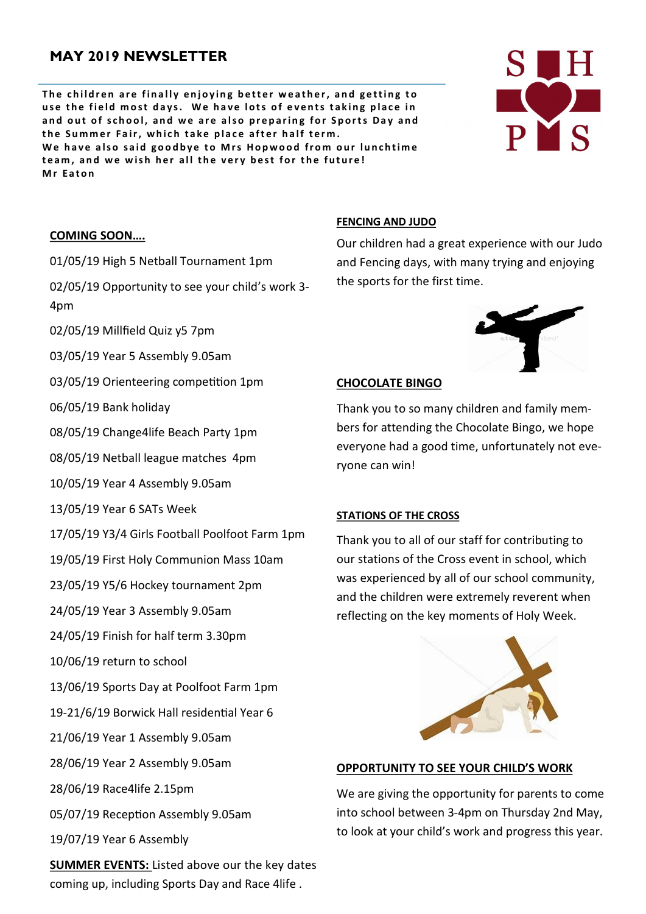# **MAY 2019 NEWSLETTER**

The children are finally enjoying better weather, and getting to use the field most days. We have lots of events taking place in and out of school, and we are also preparing for Sports Day and the Summer Fair, which take place after half term. We have also said goodbye to Mrs Hopwood from our lunchtime team, and we wish her all the very best for the future! **M r E a t o n**



#### **COMING SOON….**

01/05/19 High 5 Netball Tournament 1pm

02/05/19 Opportunity to see your child's work 3- 4pm

- 02/05/19 Millfield Quiz y5 7pm
- 03/05/19 Year 5 Assembly 9.05am
- 03/05/19 Orienteering competition 1pm
- 06/05/19 Bank holiday
- 08/05/19 Change4life Beach Party 1pm
- 08/05/19 Netball league matches 4pm
- 10/05/19 Year 4 Assembly 9.05am
- 13/05/19 Year 6 SATs Week
- 17/05/19 Y3/4 Girls Football Poolfoot Farm 1pm
- 19/05/19 First Holy Communion Mass 10am
- 23/05/19 Y5/6 Hockey tournament 2pm
- 24/05/19 Year 3 Assembly 9.05am
- 24/05/19 Finish for half term 3.30pm
- 10/06/19 return to school
- 13/06/19 Sports Day at Poolfoot Farm 1pm
- 19-21/6/19 Borwick Hall residential Year 6
- 21/06/19 Year 1 Assembly 9.05am
- 28/06/19 Year 2 Assembly 9.05am
- 28/06/19 Race4life 2.15pm
- 05/07/19 Reception Assembly 9.05am
- 19/07/19 Year 6 Assembly

**SUMMER EVENTS:** Listed above our the key dates coming up, including Sports Day and Race 4life .

#### **FENCING AND JUDO**

Our children had a great experience with our Judo and Fencing days, with many trying and enjoying the sports for the first time.

#### **CHOCOLATE BINGO**

Thank you to so many children and family members for attending the Chocolate Bingo, we hope everyone had a good time, unfortunately not everyone can win!

#### **STATIONS OF THE CROSS**

Thank you to all of our staff for contributing to our stations of the Cross event in school, which was experienced by all of our school community, and the children were extremely reverent when reflecting on the key moments of Holy Week.



#### **OPPORTUNITY TO SEE YOUR CHILD'S WORK**

We are giving the opportunity for parents to come into school between 3-4pm on Thursday 2nd May, to look at your child's work and progress this year.

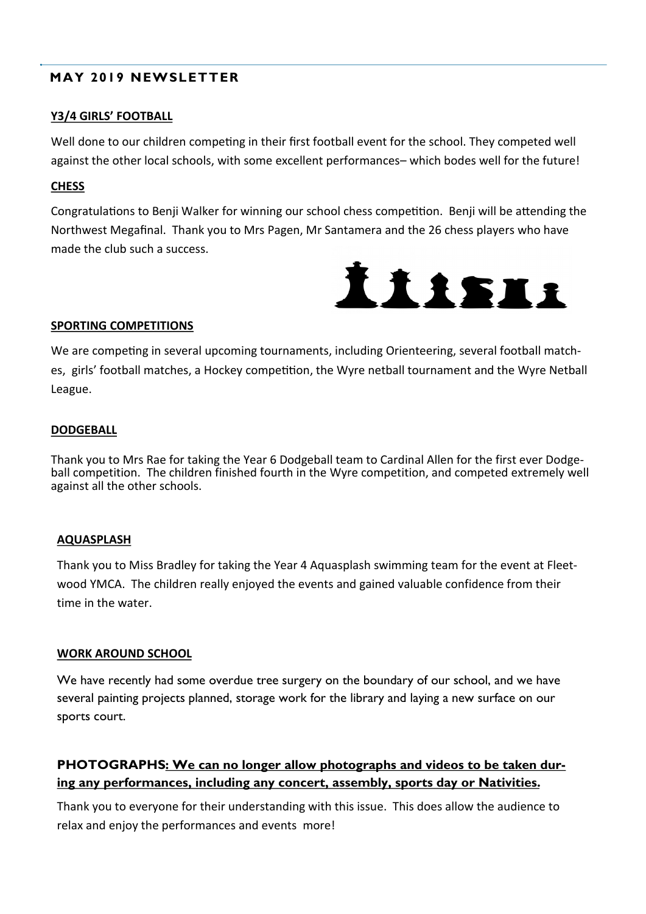# **MAY 2019 NEWSLETTER**

## **Y3/4 GIRLS' FOOTBALL**

Well done to our children competing in their first football event for the school. They competed well against the other local schools, with some excellent performances– which bodes well for the future!

## **CHESS**

Congratulations to Benji Walker for winning our school chess competition. Benji will be attending the Northwest Megafinal. Thank you to Mrs Pagen, Mr Santamera and the 26 chess players who have made the club such a success.



## **SPORTING COMPETITIONS**

We are competing in several upcoming tournaments, including Orienteering, several football matches, girls' football matches, a Hockey competition, the Wyre netball tournament and the Wyre Netball League.

## **DODGEBALL**

Thank you to Mrs Rae for taking the Year 6 Dodgeball team to Cardinal Allen for the first ever Dodgeball competition. The children finished fourth in the Wyre competition, and competed extremely well against all the other schools.

## **AQUASPLASH**

Thank you to Miss Bradley for taking the Year 4 Aquasplash swimming team for the event at Fleetwood YMCA. The children really enjoyed the events and gained valuable confidence from their time in the water.

## **WORK AROUND SCHOOL**

We have recently had some overdue tree surgery on the boundary of our school, and we have several painting projects planned, storage work for the library and laying a new surface on our sports court.

# **PHOTOGRAPHS: We can no longer allow photographs and videos to be taken during any performances, including any concert, assembly, sports day or Nativities.**

Thank you to everyone for their understanding with this issue. This does allow the audience to relax and enjoy the performances and events more!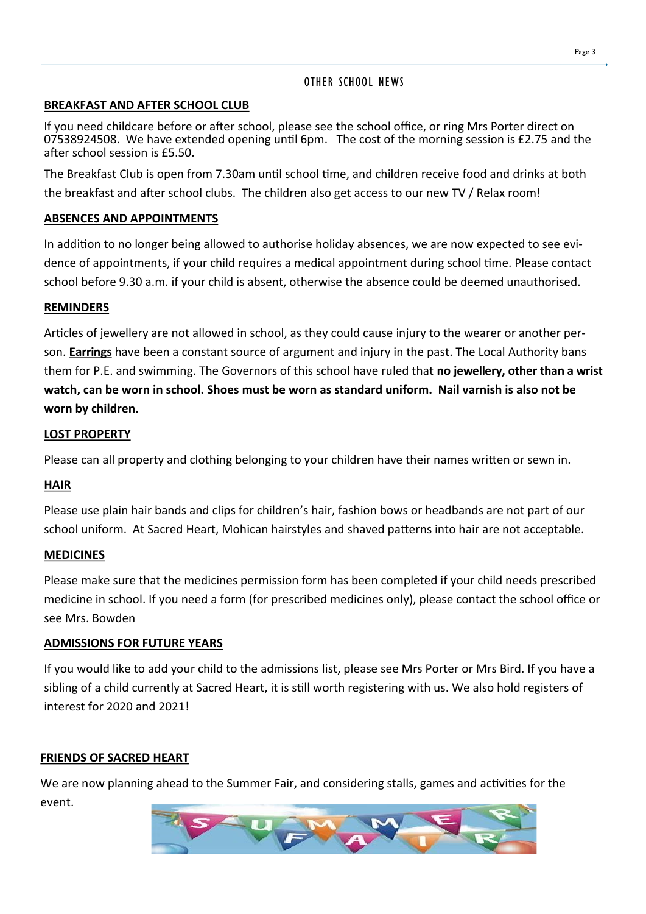## OTHER SCHOOL NEWS

## **BREAKFAST AND AFTER SCHOOL CLUB**

If you need childcare before or after school, please see the school office, or ring Mrs Porter direct on 07538924508. We have extended opening until 6pm. The cost of the morning session is £2.75 and the after school session is £5.50.

The Breakfast Club is open from 7.30am until school time, and children receive food and drinks at both the breakfast and after school clubs. The children also get access to our new TV / Relax room!

## **ABSENCES AND APPOINTMENTS**

In addition to no longer being allowed to authorise holiday absences, we are now expected to see evidence of appointments, if your child requires a medical appointment during school time. Please contact school before 9.30 a.m. if your child is absent, otherwise the absence could be deemed unauthorised.

## **REMINDERS**

Articles of jewellery are not allowed in school, as they could cause injury to the wearer or another person. **Earrings** have been a constant source of argument and injury in the past. The Local Authority bans them for P.E. and swimming. The Governors of this school have ruled that **no jewellery, other than a wrist watch, can be worn in school. Shoes must be worn as standard uniform. Nail varnish is also not be worn by children.**

## **LOST PROPERTY**

Please can all property and clothing belonging to your children have their names written or sewn in.

## **HAIR**

Please use plain hair bands and clips for children's hair, fashion bows or headbands are not part of our school uniform. At Sacred Heart, Mohican hairstyles and shaved patterns into hair are not acceptable.

## **MEDICINES**

Please make sure that the medicines permission form has been completed if your child needs prescribed medicine in school. If you need a form (for prescribed medicines only), please contact the school office or see Mrs. Bowden

## **ADMISSIONS FOR FUTURE YEARS**

If you would like to add your child to the admissions list, please see Mrs Porter or Mrs Bird. If you have a sibling of a child currently at Sacred Heart, it is still worth registering with us. We also hold registers of interest for 2020 and 2021!

## **FRIENDS OF SACRED HEART**

We are now planning ahead to the Summer Fair, and considering stalls, games and activities for the event.